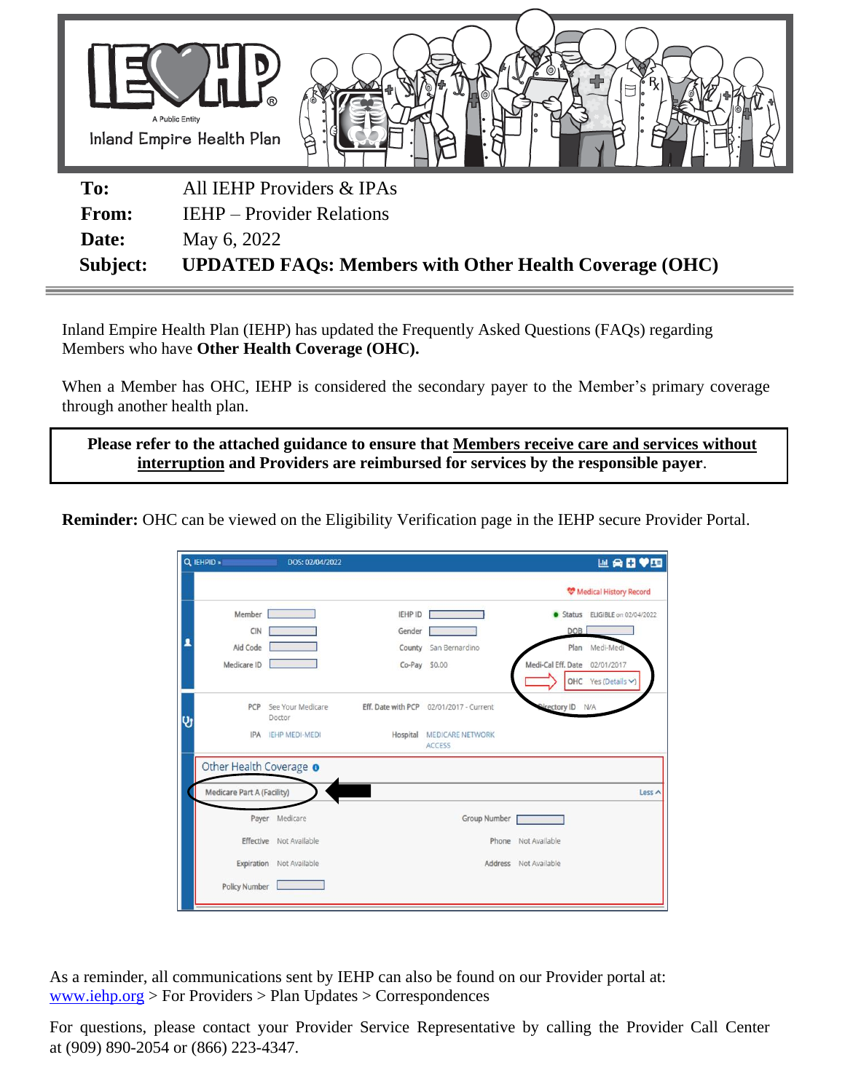

**Subject: UPDATED FAQs: Members with Other Health Coverage (OHC)** 

Inland Empire Health Plan (IEHP) has updated the Frequently Asked Questions (FAQs) regarding Members who have **Other Health Coverage (OHC).** 

When a Member has OHC, IEHP is considered the secondary payer to the Member's primary coverage through another health plan.

**Please refer to the attached guidance to ensure that Members receive care and services without interruption and Providers are reimbursed for services by the responsible payer**.

**Reminder:** OHC can be viewed on the Eligibility Verification page in the IEHP secure Provider Portal.

|   | Q IEHPID »                 | DOS: 02/04/2022             |                    |                                          |                       | 四角日♥田                           |
|---|----------------------------|-----------------------------|--------------------|------------------------------------------|-----------------------|---------------------------------|
|   |                            |                             |                    |                                          |                       | <b>W</b> Medical History Record |
|   | Member                     |                             | IEHP ID            |                                          |                       | Status ELIGIBLE on 02/04/2022   |
|   | CIN                        |                             | Gender             |                                          | DOB                   |                                 |
|   | Aid Code                   |                             | County             | San Bernardino                           |                       | Plan Medi-Medi                  |
|   | Medicare ID                |                             |                    | Co-Pay \$0.00                            | Medi-Cal Eff, Date    | 02/01/2017                      |
|   |                            |                             |                    |                                          |                       | OHC Yes (Details V)             |
| ÿ | PCP                        | See Your Medicare<br>Doctor | Eff. Date with PCP | 02/01/2017 - Current                     | Nirectory ID N/A      |                                 |
|   | IPA                        | <b>IEHP MEDI-MEDI</b>       | Hospital           | <b>MEDICARE NETWORK</b><br><b>ACCESS</b> |                       |                                 |
|   | Other Health Coverage o    |                             |                    |                                          |                       |                                 |
|   | Medicare Part A (Facility) |                             |                    |                                          |                       | Less ^                          |
|   |                            | Payer Medicare              |                    | Group Number                             |                       |                                 |
|   | Effective                  | Not Available               |                    | Phone                                    | Not Available         |                                 |
|   | Expiration                 | Not Available               |                    |                                          | Address Not Available |                                 |
|   | <b>Policy Number</b>       |                             |                    |                                          |                       |                                 |
|   |                            |                             |                    |                                          |                       |                                 |

As a reminder, all communications sent by IEHP can also be found on our Provider portal at: [www.iehp.org](http://www.iehp.org/) > For Providers > Plan Updates > Correspondences

For questions, please contact your Provider Service Representative by calling the Provider Call Center at (909) 890-2054 or (866) 223-4347.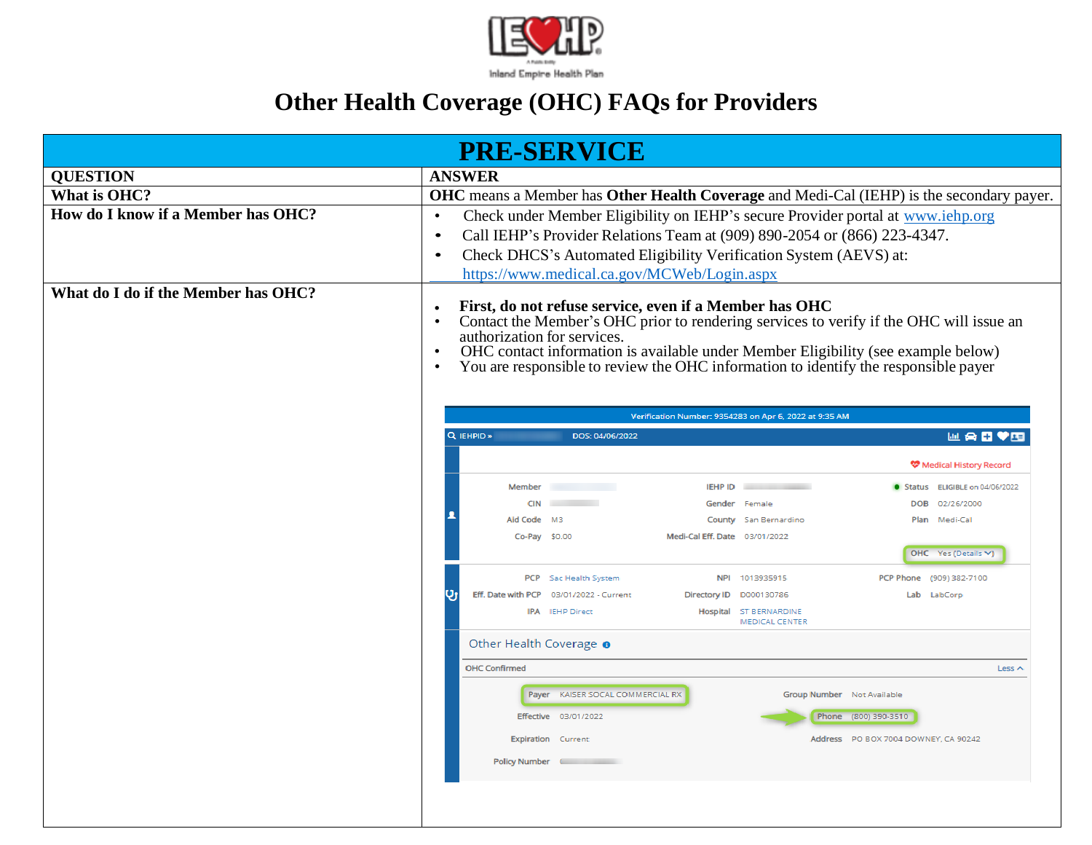

## **Other Health Coverage (OHC) FAQs for Providers**

| <b>PRE-SERVICE</b>                                                                                                                                                                                                                                                                                                                                                                                                                                            |                                                                                              |  |  |  |  |  |  |
|---------------------------------------------------------------------------------------------------------------------------------------------------------------------------------------------------------------------------------------------------------------------------------------------------------------------------------------------------------------------------------------------------------------------------------------------------------------|----------------------------------------------------------------------------------------------|--|--|--|--|--|--|
| <b>QUESTION</b>                                                                                                                                                                                                                                                                                                                                                                                                                                               | <b>ANSWER</b>                                                                                |  |  |  |  |  |  |
| What is OHC?                                                                                                                                                                                                                                                                                                                                                                                                                                                  | OHC means a Member has Other Health Coverage and Medi-Cal (IEHP) is the secondary payer.     |  |  |  |  |  |  |
| How do I know if a Member has OHC?                                                                                                                                                                                                                                                                                                                                                                                                                            | Check under Member Eligibility on IEHP's secure Provider portal at www.iehp.org<br>$\bullet$ |  |  |  |  |  |  |
|                                                                                                                                                                                                                                                                                                                                                                                                                                                               | Call IEHP's Provider Relations Team at (909) 890-2054 or (866) 223-4347.<br>$\bullet$        |  |  |  |  |  |  |
|                                                                                                                                                                                                                                                                                                                                                                                                                                                               | Check DHCS's Automated Eligibility Verification System (AEVS) at:<br>$\bullet$               |  |  |  |  |  |  |
|                                                                                                                                                                                                                                                                                                                                                                                                                                                               | https://www.medical.ca.gov/MCWeb/Login.aspx                                                  |  |  |  |  |  |  |
| What do I do if the Member has OHC?<br>First, do not refuse service, even if a Member has OHC<br>Contact the Member's OHC prior to rendering services to verify if the OHC will issue an<br>authorization for services.<br>OHC contact information is available under Member Eligibility (see example below)<br>You are responsible to review the OHC information to identify the responsible payer<br>Verification Number: 9354283 on Apr 6, 2022 at 9:35 AM |                                                                                              |  |  |  |  |  |  |
|                                                                                                                                                                                                                                                                                                                                                                                                                                                               | Q IEHPID »<br>⋓ <b>⋒⊡♥⋢</b><br>DOS: 04/06/2022                                               |  |  |  |  |  |  |
|                                                                                                                                                                                                                                                                                                                                                                                                                                                               | <b>W</b> Medical History Record                                                              |  |  |  |  |  |  |
|                                                                                                                                                                                                                                                                                                                                                                                                                                                               | Member<br><b>IEHP ID</b><br>Status ELIGIBLE on 04/06/2022                                    |  |  |  |  |  |  |
|                                                                                                                                                                                                                                                                                                                                                                                                                                                               | <b>CIN</b><br><b>Contract</b><br>DOB 02/26/2000<br>Gender Female                             |  |  |  |  |  |  |
|                                                                                                                                                                                                                                                                                                                                                                                                                                                               | Aid Code M3<br>County San Bernardino<br>Plan Medi-Cal                                        |  |  |  |  |  |  |
|                                                                                                                                                                                                                                                                                                                                                                                                                                                               | Medi-Cal Eff. Date 03/01/2022<br>Co-Pay \$0.00<br>OHC Yes (Details V)                        |  |  |  |  |  |  |
|                                                                                                                                                                                                                                                                                                                                                                                                                                                               | PCP Sac Health System<br>NPI 1013935915<br>PCP Phone (909) 382-7100                          |  |  |  |  |  |  |
|                                                                                                                                                                                                                                                                                                                                                                                                                                                               | Eff. Date with PCP 03/01/2022 - Current<br>Directory ID D000130786<br>Lab LabCorp            |  |  |  |  |  |  |
|                                                                                                                                                                                                                                                                                                                                                                                                                                                               | IPA IEHP Direct<br>Hospital ST BERNARDINE<br><b>MEDICAL CENTER</b>                           |  |  |  |  |  |  |
|                                                                                                                                                                                                                                                                                                                                                                                                                                                               | Other Health Coverage o                                                                      |  |  |  |  |  |  |
|                                                                                                                                                                                                                                                                                                                                                                                                                                                               | <b>OHC Confirmed</b><br>Less $\wedge$                                                        |  |  |  |  |  |  |
|                                                                                                                                                                                                                                                                                                                                                                                                                                                               | Payer KAISER SOCAL COMMERCIAL RX<br>Group Number Not Available                               |  |  |  |  |  |  |
|                                                                                                                                                                                                                                                                                                                                                                                                                                                               | Effective 03/01/2022<br>Phone (800) 390-3510                                                 |  |  |  |  |  |  |
|                                                                                                                                                                                                                                                                                                                                                                                                                                                               | Address PO BOX 7004 DOWNEY, CA 90242<br><b>Expiration</b> Current                            |  |  |  |  |  |  |
|                                                                                                                                                                                                                                                                                                                                                                                                                                                               | Policy Number (Communication                                                                 |  |  |  |  |  |  |
|                                                                                                                                                                                                                                                                                                                                                                                                                                                               |                                                                                              |  |  |  |  |  |  |